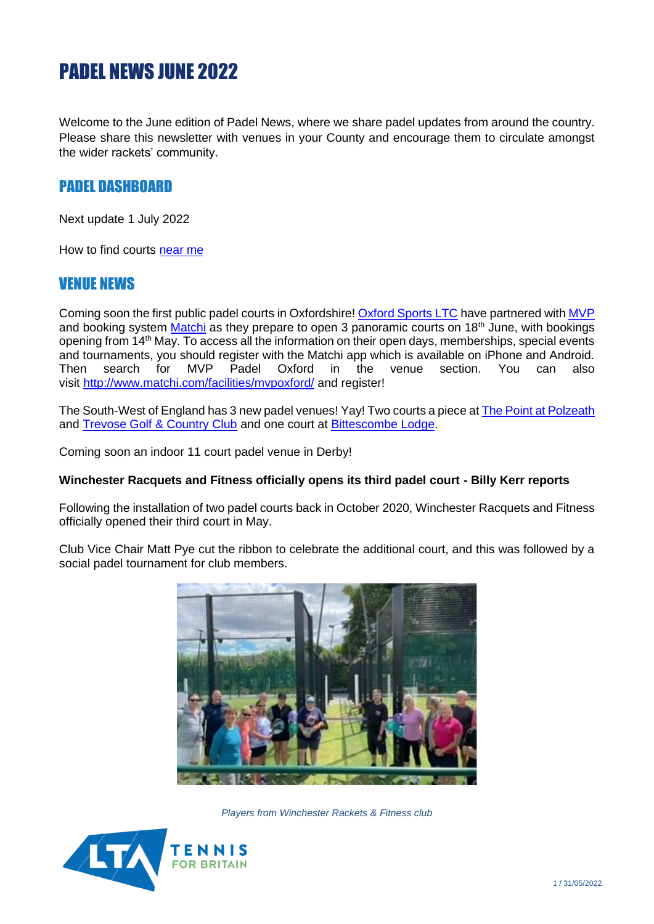# PADEL NEWS JUNE 2022

Welcome to the June edition of Padel News, where we share padel updates from around the country. Please share this newsletter with venues in your County and encourage them to circulate amongst the wider rackets' community.

# PADEL DASHBOARD

Next update 1 July 2022

How to find courts [near me](https://www.lta.org.uk/globalassets/about-lta/padel/venue-directory-2021.pdf)

### VENUE NEWS

Coming soon the first public padel courts in Oxfordshire! [Oxford Sports LTC](https://www.oxfordsportsltc.org/) have partnered wit[h MVP](https://www.mvppadel.com/) and booking system [Matchi](https://www.matchi.se/facilities/mvpoxford?lang=en) as they prepare to open 3 panoramic courts on  $18<sup>th</sup>$  June, with bookings opening from  $14<sup>th</sup>$  May. To access all the information on their open days, memberships, special events and tournaments, you should register with the Matchi app which is available on iPhone and Android. Then search for MVP Padel Oxford in the venue section. You can also visit http://www.matchi.com/facilities/mypoxford/ and register!

The South-West of England has 3 new padel venues! Yay! Two courts a piece a[t The Point at Polzeath](https://www.thepointatpolzeath.co.uk/health-club/padel-tennis/) and [Trevose Golf & Country Club](https://trevose-gc.co.uk/) and one court at [Bittescombe Lodge.](https://bittescombe.com/)

Coming soon an indoor 11 court padel venue in Derby!

#### **Winchester Racquets and Fitness officially opens its third padel court - Billy Kerr reports**

Following the installation of two padel courts back in October 2020, Winchester Racquets and Fitness officially opened their third court in May.

Club Vice Chair Matt Pye cut the ribbon to celebrate the additional court, and this was followed by a social padel tournament for club members.



*Players from Winchester Rackets & Fitness club*

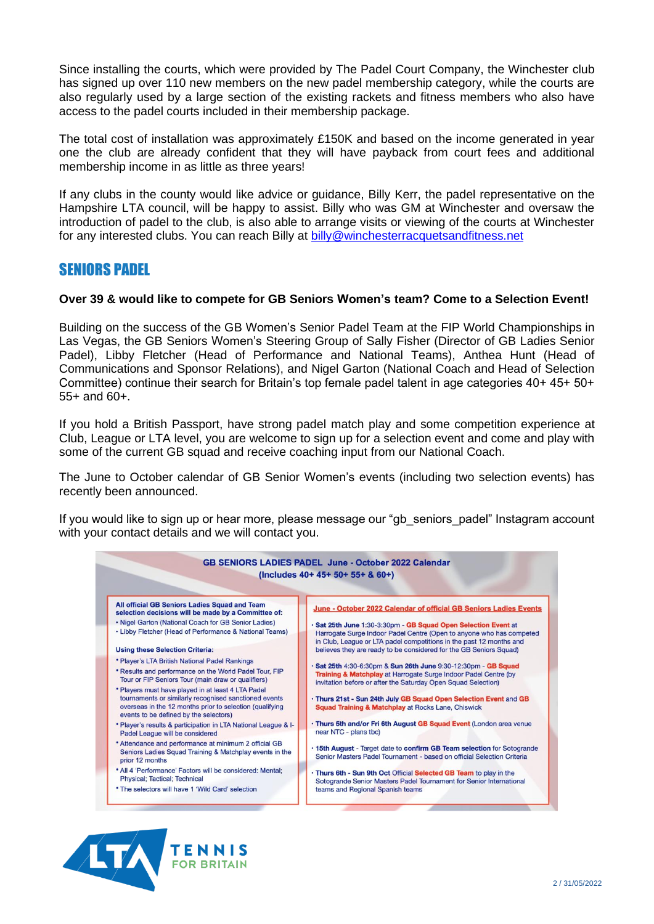Since installing the courts, which were provided by The Padel Court Company, the Winchester club has signed up over 110 new members on the new padel membership category, while the courts are also regularly used by a large section of the existing rackets and fitness members who also have access to the padel courts included in their membership package.

The total cost of installation was approximately £150K and based on the income generated in year one the club are already confident that they will have payback from court fees and additional membership income in as little as three years!

If any clubs in the county would like advice or guidance, Billy Kerr, the padel representative on the Hampshire LTA council, will be happy to assist. Billy who was GM at Winchester and oversaw the introduction of padel to the club, is also able to arrange visits or viewing of the courts at Winchester for any interested clubs. You can reach Billy at [billy@winchesterracquetsandfitness.net](mailto:billy@winchesterracquetsandfitness.net)

### SENIORS PADEL

#### **Over 39 & would like to compete for GB Seniors Women's team? Come to a Selection Event!**

Building on the success of the GB Women's Senior Padel Team at the FIP World Championships in Las Vegas, the GB Seniors Women's Steering Group of Sally Fisher (Director of GB Ladies Senior Padel), Libby Fletcher (Head of Performance and National Teams), Anthea Hunt (Head of Communications and Sponsor Relations), and Nigel Garton (National Coach and Head of Selection Committee) continue their search for Britain's top female padel talent in age categories 40+ 45+ 50+ 55+ and 60+.

If you hold a British Passport, have strong padel match play and some competition experience at Club, League or LTA level, you are welcome to sign up for a selection event and come and play with some of the current GB squad and receive coaching input from our National Coach.

The June to October calendar of GB Senior Women's events (including two selection events) has recently been announced.

If you would like to sign up or hear more, please message our "gb\_seniors\_padel" Instagram account with your contact details and we will contact you.



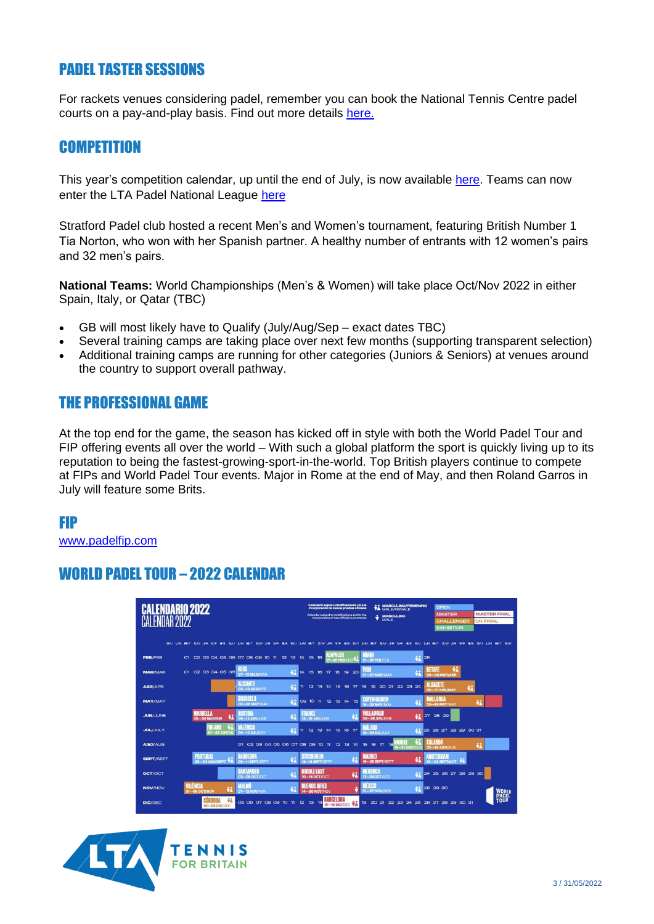# PADEL TASTER SESSIONS

For rackets venues considering padel, remember you can book the National Tennis Centre padel courts on a pay-and-play basis. Find out more details [here.](https://clubspark.lta.org.uk/PadelNTC)

## **COMPETITION**

This year's competition calendar, up until the end of July, is now available [here.](https://www.lta.org.uk/globalassets/play/padel/lta-padel-tour-feb-july-2022.pdf) Teams can now enter the LTA Padel National League [here](https://spark.adobe.com/page/vSnkcpTBtnIY7/)

Stratford Padel club hosted a recent Men's and Women's tournament, featuring British Number 1 Tia Norton, who won with her Spanish partner. A healthy number of entrants with 12 women's pairs and 32 men's pairs.

**National Teams:** World Championships (Men's & Women) will take place Oct/Nov 2022 in either Spain, Italy, or Qatar (TBC)

- GB will most likely have to Qualify (July/Aug/Sep exact dates TBC)
- Several training camps are taking place over next few months (supporting transparent selection)
- Additional training camps are running for other categories (Juniors & Seniors) at venues around the country to support overall pathway.

# THE PROFESSIONAL GAME

At the top end for the game, the season has kicked off in style with both the World Padel Tour and FIP offering events all over the world – With such a global platform the sport is quickly living up to its reputation to being the fastest-growing-sport-in-the-world. Top British players continue to compete at FIPs and World Padel Tour events. Major in Rome at the end of May, and then Roland Garros in July will feature some Brits.

### FIP

[www.padelfip.com](http://www.padelfip.com/)

# WORLD PADEL TOUR – 2022 CALENDAR

| Calendario 2022<br>R2N22 |    |                           |    |               |                   |                                   |                               |                     |    |                                        |    |    |                       | Calendario sujeto a modificaciones y/o a la<br>Incorporación de nuevas pruebas oficiales<br>Calendar subject to modifications and/or the<br>incorporation of new official tournaments | <b>VA MASCULINO/FEMENINO</b><br><b>MASCULINO</b><br>÷<br>MALE |                  |    |              |              | <b>OPEN</b><br><b>MASTER</b><br>CHALLENGER<br><b>EXHIBITION</b> |                                                                                                                                             |    | <b>MASTER FINAL</b><br>CH. FINAL |  |                      |
|--------------------------|----|---------------------------|----|---------------|-------------------|-----------------------------------|-------------------------------|---------------------|----|----------------------------------------|----|----|-----------------------|---------------------------------------------------------------------------------------------------------------------------------------------------------------------------------------|---------------------------------------------------------------|------------------|----|--------------|--------------|-----------------------------------------------------------------|---------------------------------------------------------------------------------------------------------------------------------------------|----|----------------------------------|--|----------------------|
|                          |    |                           |    |               |                   |                                   |                               |                     |    |                                        |    |    |                       |                                                                                                                                                                                       |                                                               |                  |    |              |              |                                                                 | D/U L/M M/T X/W J/R V/F B/S D/U L/M M/T X/W J/R V/F B/S D/U L/M M/T X/W J/R V/F B/S D/U L/M M/T X/W J/R X/F B/W J/R V/F B/S D/U L/M M/T X/W |    |                                  |  |                      |
| <b>FEB/FEB</b>           | O1 |                           |    |               |                   | 02 03 04 05 06 07 08 09 10 11     |                               | 12<br>13            | 14 | 15                                     | 16 |    | ш                     | 7-20 FEB/FEB V                                                                                                                                                                        | <b>21-27 FEB/FEB</b>                                          |                  |    |              | 迖            | 128                                                             |                                                                                                                                             |    |                                  |  |                      |
| <b>MAR/MAR</b>           |    | 01 02 03 04 05 06         |    |               |                   | REIS<br>07-13 MAR/MAR             |                               | ΨÂ                  | 14 | 15                                     | 16 | T  | 18                    | 19 20                                                                                                                                                                                 | 21-27 MAR/MAR                                                 |                  |    |              | ÷            | <b>GETAFE</b>                                                   | ÷i<br><b>28-03 MAR/ABR</b>                                                                                                                  |    |                                  |  |                      |
| <b>ABR/APR</b>           |    |                           |    |               |                   | ALICANTE<br><b>04-10 ABR/APR</b>  |                               | $\ddot{\bullet}$    | Ħ  | 12                                     | 13 | 14 | 15<br>16              | $\tau$                                                                                                                                                                                | 19<br>18                                                      | 20               | 21 | 22           | 23 24        |                                                                 | <b>ALBACETE</b><br><b>25-01 ABR/MAY</b>                                                                                                     | ÷i |                                  |  |                      |
| <b>MAY/MAY</b>           |    |                           |    |               |                   | <b>MISSELS</b><br>02-08 MAY/MAY   |                               | ÷                   |    | 09 10 11                               |    | 12 | 14<br>13 <sup>°</sup> | 15                                                                                                                                                                                    | 16-22 MAY/MAY                                                 | <b>PENNYA BE</b> |    |              |              | <b>MALLI</b>                                                    | H.<br><b>23-29 MAY/MAY</b>                                                                                                                  |    |                                  |  |                      |
| <b>JUN/JUNE</b>          |    | MARRELLA<br>30-O5 MAY/JUN |    |               | ÷i                | <b>06-12 JUN/JUNE</b>             |                               | ŵ                   |    | <b>FRANCE</b><br><b>13-19 JUN/JUNE</b> |    |    |                       |                                                                                                                                                                                       | VALLADOLID<br><b>20-26 JUN/JUNE</b>                           |                  |    |              | $\ddot{x}$   |                                                                 | 27 28 29                                                                                                                                    |    |                                  |  |                      |
| <b>JUL/JULY</b>          |    |                           |    |               | <b>O3 JUN/JUL</b> | <b>LENGTH</b><br>04-10 JUL/JULY   |                               | ÷                   | 11 | 12                                     | 13 | 14 | 16<br>15              | $\tau$                                                                                                                                                                                | W<br>18-24 JUL/JULY                                           |                  |    |              | $\cdot$      |                                                                 | 25 26 27 28 29 30 31                                                                                                                        |    |                                  |  |                      |
| AGO/AUG                  |    |                           |    |               |                   | O1                                | 02 03 04 05 06 07 08 09 10 11 |                     |    |                                        |    |    | 12 <sub>2</sub><br>13 | 14                                                                                                                                                                                    | 15<br>16                                                      | T                | 18 | $-21$ AGO/AU |              |                                                                 | CALANDA<br><b>22-28 AGO/AUG</b>                                                                                                             |    | $\ddot{x}$                       |  |                      |
| <b>SEPT/SEPT</b>         |    | 29-04 AGO/SEPT VA         | ЭΛ |               |                   | <b>SARDEGN</b><br>05-11 SEPT/SEPT |                               | $\ddot{\mathbf{v}}$ |    | STOCKHOLM<br>12-18 SEPT/SEPT           |    |    |                       |                                                                                                                                                                                       | <b>MADRID</b><br>19-25 SEPT/SEPT                              |                  |    |              | ÷            |                                                                 | <b>ISTERDAR</b><br>26-02 SEPT/OCT                                                                                                           |    |                                  |  |                      |
| OCT/OCT                  |    |                           |    |               |                   | <b>NTANDER</b><br>03-09 OCT/OCT   |                               | ÷                   |    | <b>DLE EAST</b><br>10-16 OCT/OCT       |    |    |                       | $\bullet$                                                                                                                                                                             | <b>TNORCI</b>                                                 | $-23$ OCT/OCT    |    |              |              |                                                                 | 24 25 26 27 28 29 30                                                                                                                        |    |                                  |  |                      |
| <b>NOV/NOV</b>           |    | VALÈNCIA<br>31-06 OCT/NOV |    |               | ÷                 | <b>MALM</b><br>07-13 NOV/NOV      |                               |                     |    | <b>UENOS AIRES</b><br>14-20 NOV/NOV    |    |    |                       |                                                                                                                                                                                       | <b>TEXTER</b><br>21-27 NOV/NOV                                |                  |    |              | $\mathbf{e}$ |                                                                 | 28 29 30                                                                                                                                    |    |                                  |  | <b>WORLD</b>         |
| <b>DIC/DEC</b>           |    |                           |    | 01-04 DIC/DEC | ΥÄ                | 05 06 07 08 09 10 11              |                               |                     | 12 | 13                                     | 14 |    | <b>15-18 DIC/DEC</b>  |                                                                                                                                                                                       |                                                               |                  |    |              |              |                                                                 | 19 20 21 22 23 24 25 26 27 28 29 30 31                                                                                                      |    |                                  |  | PADEL<br><b>TOUR</b> |

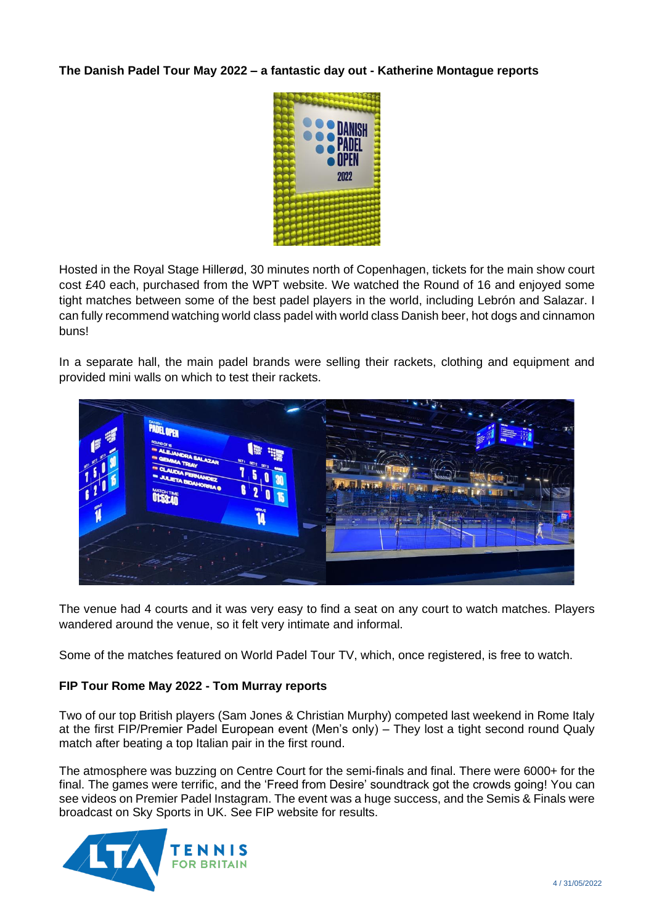### **The Danish Padel Tour May 2022 – a fantastic day out - Katherine Montague reports**



Hosted in the Royal Stage Hillerød, 30 minutes north of Copenhagen, tickets for the main show court cost £40 each, purchased from the WPT website. We watched the Round of 16 and enjoyed some tight matches between some of the best padel players in the world, including Lebrón and Salazar. I can fully recommend watching world class padel with world class Danish beer, hot dogs and cinnamon buns!

In a separate hall, the main padel brands were selling their rackets, clothing and equipment and provided mini walls on which to test their rackets.



The venue had 4 courts and it was very easy to find a seat on any court to watch matches. Players wandered around the venue, so it felt very intimate and informal.

Some of the matches featured on World Padel Tour TV, which, once registered, is free to watch.

### **FIP Tour Rome May 2022 - Tom Murray reports**

Two of our top British players (Sam Jones & Christian Murphy) competed last weekend in Rome Italy at the first FIP/Premier Padel European event (Men's only) – They lost a tight second round Qualy match after beating a top Italian pair in the first round.

The atmosphere was buzzing on Centre Court for the semi-finals and final. There were 6000+ for the final. The games were terrific, and the 'Freed from Desire' soundtrack got the crowds going! You can see videos on Premier Padel Instagram. The event was a huge success, and the Semis & Finals were broadcast on Sky Sports in UK. See FIP website for results.

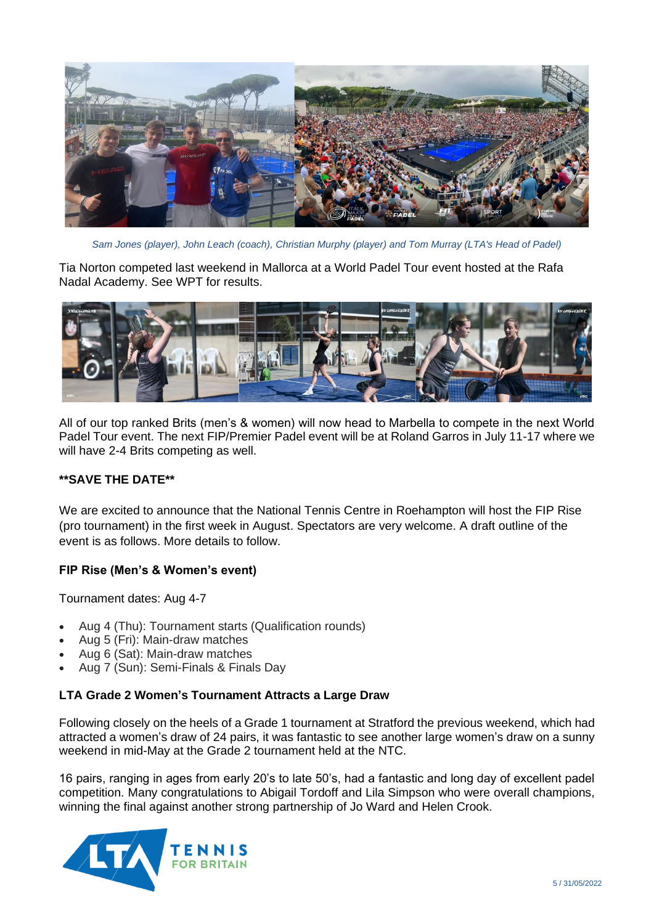

*Sam Jones (player), John Leach (coach), Christian Murphy (player) and Tom Murray (LTA's Head of Padel)*

Tia Norton competed last weekend in Mallorca at a World Padel Tour event hosted at the Rafa Nadal Academy. See WPT for results.



All of our top ranked Brits (men's & women) will now head to Marbella to compete in the next World Padel Tour event. The next FIP/Premier Padel event will be at Roland Garros in July 11-17 where we will have 2-4 Brits competing as well.

### **\*\*SAVE THE DATE\*\***

We are excited to announce that the National Tennis Centre in Roehampton will host the FIP Rise (pro tournament) in the first week in August. Spectators are very welcome. A draft outline of the event is as follows. More details to follow.

### **FIP Rise (Men's & Women's event)**

Tournament dates: Aug 4-7

- Aug 4 (Thu): Tournament starts (Qualification rounds)
- Aug 5 (Fri): Main-draw matches
- Aug 6 (Sat): Main-draw matches
- Aug 7 (Sun): Semi-Finals & Finals Day

#### **LTA Grade 2 Women's Tournament Attracts a Large Draw**

Following closely on the heels of a Grade 1 tournament at Stratford the previous weekend, which had attracted a women's draw of 24 pairs, it was fantastic to see another large women's draw on a sunny weekend in mid-May at the Grade 2 tournament held at the NTC.

16 pairs, ranging in ages from early 20's to late 50's, had a fantastic and long day of excellent padel competition. Many congratulations to Abigail Tordoff and Lila Simpson who were overall champions, winning the final against another strong partnership of Jo Ward and Helen Crook.

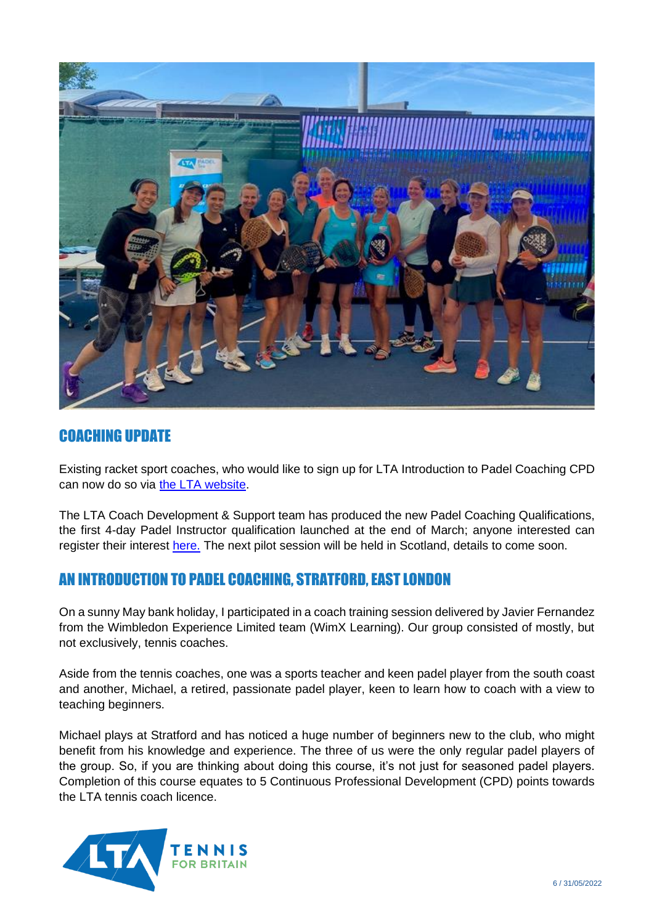

# COACHING UPDATE

Existing racket sport coaches, who would like to sign up for LTA Introduction to Padel Coaching CPD can now do so via [the LTA website.](https://www.lta.org.uk/roles-and-venues/coaches/development/courses/)

The LTA Coach Development & Support team has produced the new Padel Coaching Qualifications, the first 4-day Padel Instructor qualification launched at the end of March; anyone interested can register their interest [here.](https://www.lta.org.uk/workforce-venues/coach-teach/tennis-coach-qualifications/lta-padel-coaching-qualification/) The next pilot session will be held in Scotland, details to come soon.

# AN INTRODUCTION TO PADEL COACHING, STRATFORD, EAST LONDON

On a sunny May bank holiday, I participated in a coach training session delivered by Javier Fernandez from the Wimbledon Experience Limited team (WimX Learning). Our group consisted of mostly, but not exclusively, tennis coaches.

Aside from the tennis coaches, one was a sports teacher and keen padel player from the south coast and another, Michael, a retired, passionate padel player, keen to learn how to coach with a view to teaching beginners.

Michael plays at Stratford and has noticed a huge number of beginners new to the club, who might benefit from his knowledge and experience. The three of us were the only regular padel players of the group. So, if you are thinking about doing this course, it's not just for seasoned padel players. Completion of this course equates to 5 Continuous Professional Development (CPD) points towards the LTA tennis coach licence.